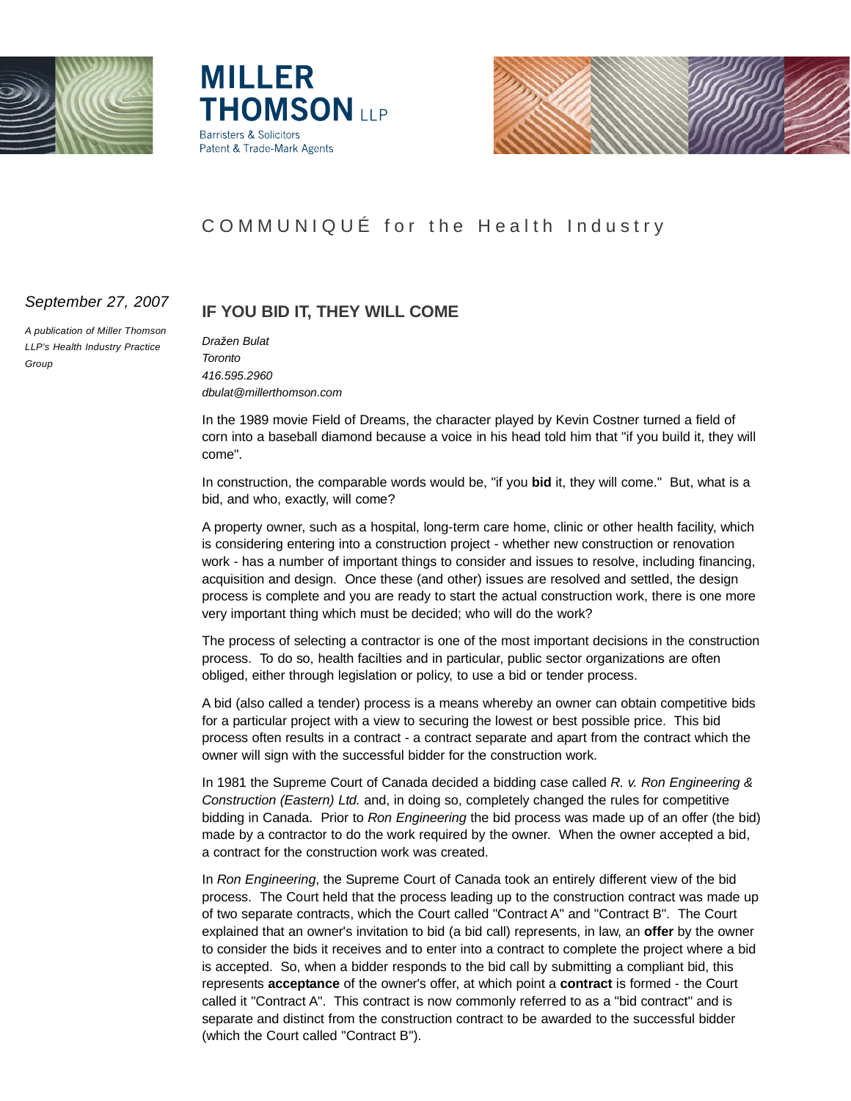





# COMMUNIQUÉ for the Health Industry

## *September 27, 2007*

*A publication of Miller Thomson LLP's Health Industry Practice Group*

# **IF YOU BID IT, THEY WILL COME**

*Dražen Bulat Toronto 416.595.2960 dbulat@millerthomson.com*

In the 1989 movie Field of Dreams, the character played by Kevin Costner turned a field of corn into a baseball diamond because a voice in his head told him that "if you build it, they will come".

In construction, the comparable words would be, "if you **bid** it, they will come." But, what is a bid, and who, exactly, will come?

A property owner, such as a hospital, long-term care home, clinic or other health facility, which is considering entering into a construction project - whether new construction or renovation work - has a number of important things to consider and issues to resolve, including financing, acquisition and design. Once these (and other) issues are resolved and settled, the design process is complete and you are ready to start the actual construction work, there is one more very important thing which must be decided; who will do the work?

The process of selecting a contractor is one of the most important decisions in the construction process. To do so, health facilties and in particular, public sector organizations are often obliged, either through legislation or policy, to use a bid or tender process.

A bid (also called a tender) process is a means whereby an owner can obtain competitive bids for a particular project with a view to securing the lowest or best possible price. This bid process often results in a contract - a contract separate and apart from the contract which the owner will sign with the successful bidder for the construction work.

In 1981 the Supreme Court of Canada decided a bidding case called *R. v. Ron Engineering & Construction (Eastern) Ltd.* and, in doing so, completely changed the rules for competitive bidding in Canada. Prior to *Ron Engineering* the bid process was made up of an offer (the bid) made by a contractor to do the work required by the owner. When the owner accepted a bid, a contract for the construction work was created.

In *Ron Engineering*, the Supreme Court of Canada took an entirely different view of the bid process. The Court held that the process leading up to the construction contract was made up of two separate contracts, which the Court called "Contract A" and "Contract B". The Court explained that an owner's invitation to bid (a bid call) represents, in law, an **offer** by the owner to consider the bids it receives and to enter into a contract to complete the project where a bid is accepted. So, when a bidder responds to the bid call by submitting a compliant bid, this represents **acceptance** of the owner's offer, at which point a **contract** is formed - the Court called it "Contract A". This contract is now commonly referred to as a "bid contract" and is separate and distinct from the construction contract to be awarded to the successful bidder (which the Court called "Contract B").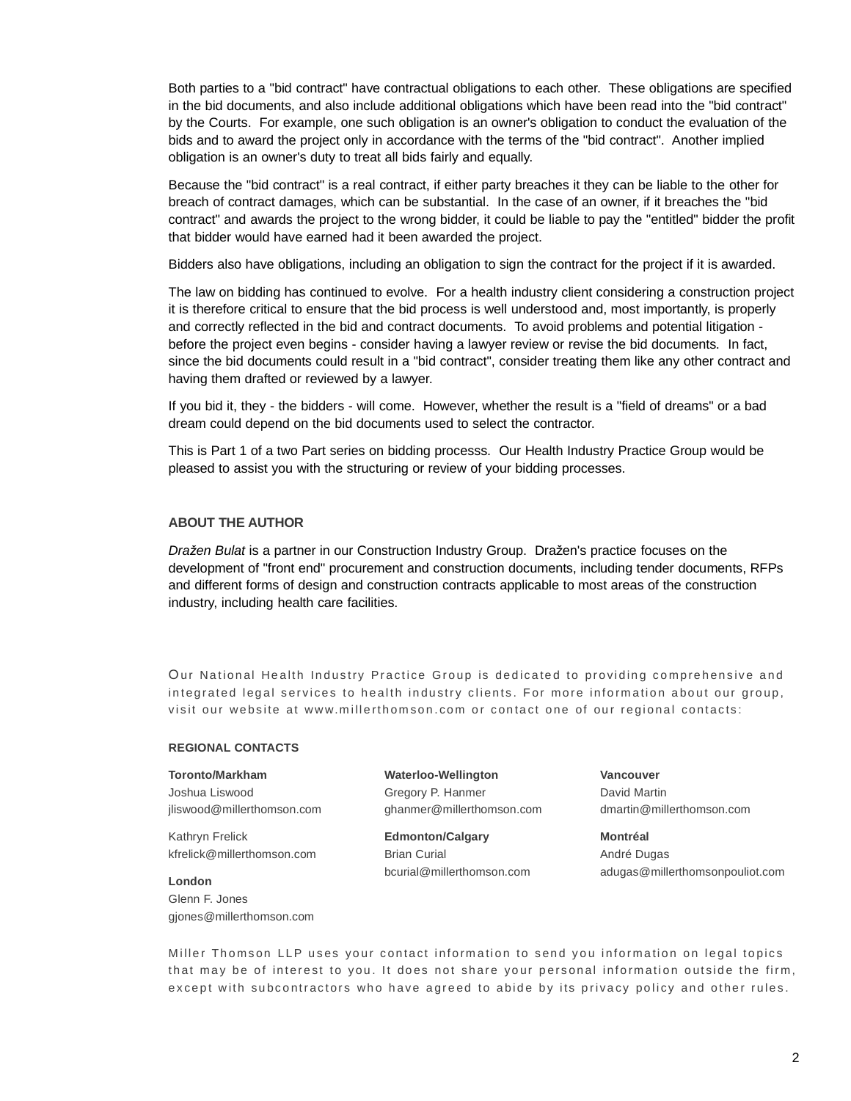Both parties to a "bid contract" have contractual obligations to each other. These obligations are specified in the bid documents, and also include additional obligations which have been read into the "bid contract" by the Courts. For example, one such obligation is an owner's obligation to conduct the evaluation of the bids and to award the project only in accordance with the terms of the "bid contract". Another implied obligation is an owner's duty to treat all bids fairly and equally.

Because the "bid contract" is a real contract, if either party breaches it they can be liable to the other for breach of contract damages, which can be substantial. In the case of an owner, if it breaches the "bid contract" and awards the project to the wrong bidder, it could be liable to pay the "entitled" bidder the profit that bidder would have earned had it been awarded the project.

Bidders also have obligations, including an obligation to sign the contract for the project if it is awarded.

The law on bidding has continued to evolve. For a health industry client considering a construction project it is therefore critical to ensure that the bid process is well understood and, most importantly, is properly and correctly reflected in the bid and contract documents. To avoid problems and potential litigation before the project even begins - consider having a lawyer review or revise the bid documents. In fact, since the bid documents could result in a "bid contract", consider treating them like any other contract and having them drafted or reviewed by a lawyer.

If you bid it, they - the bidders - will come. However, whether the result is a "field of dreams" or a bad dream could depend on the bid documents used to select the contractor.

This is Part 1 of a two Part series on bidding processs. Our Health Industry Practice Group would be pleased to assist you with the structuring or review of your bidding processes.

### **ABOUT THE AUTHOR**

*Dražen Bulat* is a partner in our Construction Industry Group. Dražen's practice focuses on the development of "front end" procurement and construction documents, including tender documents, RFPs and different forms of design and construction contracts applicable to most areas of the construction industry, including health care facilities.

Our National Health Industry Practice Group is dedicated to providing comprehensive and integrated legal services to health industry clients. For more information about our group, visit our website at www.millerthomson.com or contact one of our regional contacts:

#### **REGIONAL CONTACTS**

#### **Toronto/Markham**

Joshua Liswood jliswood@millerthomson.com

Kathryn Frelick kfrelick@millerthomson.com

**London** Glenn F. Jones gjones@millerthomson.com **Waterloo-Wellington** Gregory P. Hanmer ghanmer@millerthomson.com

**Edmonton/Calgary** Brian Curial bcurial@millerthomson.com

**Vancouver** David Martin dmartin@millerthomson.com

**Montréal** André Dugas adugas@millerthomsonpouliot.com

Miller Thomson LLP uses your contact information to send you information on legal topics that may be of interest to you. It does not share your personal information outside the firm, except with subcontractors who have agreed to abide by its privacy policy and other rules.